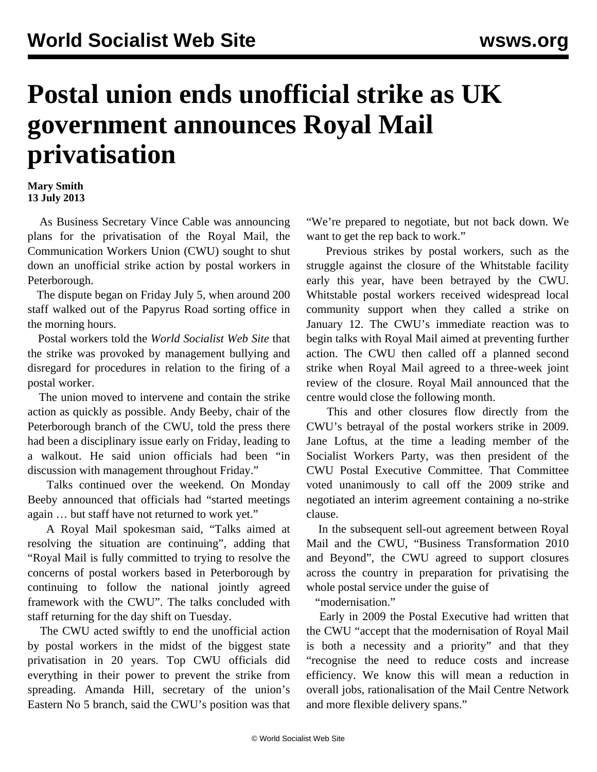## **Postal union ends unofficial strike as UK government announces Royal Mail privatisation**

## **Mary Smith 13 July 2013**

 As Business Secretary Vince Cable was announcing plans for the privatisation of the Royal Mail, the Communication Workers Union (CWU) sought to shut down an unofficial strike action by postal workers in Peterborough.

 The dispute began on Friday July 5, when around 200 staff walked out of the Papyrus Road sorting office in the morning hours.

 Postal workers told the *World Socialist Web Site* that the strike was provoked by management bullying and disregard for procedures in relation to the firing of a postal worker.

 The union moved to intervene and contain the strike action as quickly as possible. Andy Beeby, chair of the Peterborough branch of the CWU, told the press there had been a disciplinary issue early on Friday, leading to a walkout. He said union officials had been "in discussion with management throughout Friday."

 Talks continued over the weekend. On Monday Beeby announced that officials had "started meetings again … but staff have not returned to work yet."

 A Royal Mail spokesman said, "Talks aimed at resolving the situation are continuing", adding that "Royal Mail is fully committed to trying to resolve the concerns of postal workers based in Peterborough by continuing to follow the national jointly agreed framework with the CWU". The talks concluded with staff returning for the day shift on Tuesday.

 The CWU acted swiftly to end the unofficial action by postal workers in the midst of the biggest state privatisation in 20 years. Top CWU officials did everything in their power to prevent the strike from spreading. Amanda Hill, secretary of the union's Eastern No 5 branch, said the CWU's position was that

"We're prepared to negotiate, but not back down. We want to get the rep back to work."

 Previous strikes by postal workers, such as the struggle against the closure of the Whitstable facility early this year, have been betrayed by the CWU. Whitstable postal workers received widespread local community support when they called a strike on January 12. The CWU's immediate reaction was to begin talks with Royal Mail aimed at preventing further action. The CWU then called off a planned second strike when Royal Mail agreed to a three-week joint review of the closure. Royal Mail announced that the centre would close the following month.

 This and other closures flow directly from the CWU's betrayal of the postal workers strike in 2009. Jane Loftus, at the time a leading member of the Socialist Workers Party, was then president of the CWU Postal Executive Committee. That Committee voted unanimously to call off the 2009 strike and negotiated an interim agreement containing a no-strike clause.

 In the subsequent sell-out agreement between Royal Mail and the CWU, "Business Transformation 2010 and Beyond", the CWU agreed to support closures across the country in preparation for privatising the whole postal service under the guise of

"modernisation."

 Early in 2009 the Postal Executive had written that the CWU "accept that the modernisation of Royal Mail is both a necessity and a priority" and that they "recognise the need to reduce costs and increase efficiency. We know this will mean a reduction in overall jobs, rationalisation of the Mail Centre Network and more flexible delivery spans."